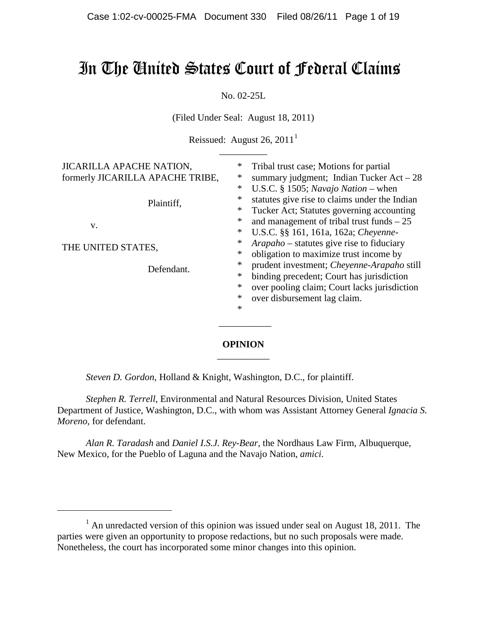# In The United States Court of Federal Claims

No. 02-25L

(Filed Under Seal: August 18, 2011)

Reissued: August 26,  $2011<sup>1</sup>$  $2011<sup>1</sup>$  $2011<sup>1</sup>$ \_\_\_\_\_\_\_\_\_\_

| <b>JICARILLA APACHE NATION,</b><br>formerly JICARILLA APACHE TRIBE, | ∗<br>*<br>∗                | Tribal trust case; Motions for partial<br>summary judgment; Indian Tucker $Act - 28$                                                                                    |
|---------------------------------------------------------------------|----------------------------|-------------------------------------------------------------------------------------------------------------------------------------------------------------------------|
| Plaintiff,                                                          | *<br>*                     | U.S.C. § 1505; Navajo Nation – when<br>statutes give rise to claims under the Indian<br>Tucker Act; Statutes governing accounting                                       |
| V.                                                                  | *<br>*                     | and management of tribal trust funds $-25$<br>U.S.C. §§ 161, 161a, 162a; Cheyenne-                                                                                      |
| THE UNITED STATES,                                                  | $\ast$<br>*                | Arapaho – statutes give rise to fiduciary<br>obligation to maximize trust income by                                                                                     |
| Defendant.                                                          | *<br>∗<br>*<br>*<br>$\ast$ | prudent investment; Cheyenne-Arapaho still<br>binding precedent; Court has jurisdiction<br>over pooling claim; Court lacks jurisdiction<br>over disbursement lag claim. |
|                                                                     |                            |                                                                                                                                                                         |

## **OPINION** \_\_\_\_\_\_\_\_\_\_\_

*Steven D. Gordon*, Holland & Knight, Washington, D.C., for plaintiff.

*Stephen R. Terrell*, Environmental and Natural Resources Division, United States Department of Justice, Washington, D.C., with whom was Assistant Attorney General *Ignacia S. Moreno*, for defendant.

*Alan R. Taradash* and *Daniel I.S.J. Rey-Bear*, the Nordhaus Law Firm, Albuquerque, New Mexico, for the Pueblo of Laguna and the Navajo Nation, *amici*.

<span id="page-0-0"></span> $1$  An unredacted version of this opinion was issued under seal on August 18, 2011. The parties were given an opportunity to propose redactions, but no such proposals were made. Nonetheless, the court has incorporated some minor changes into this opinion.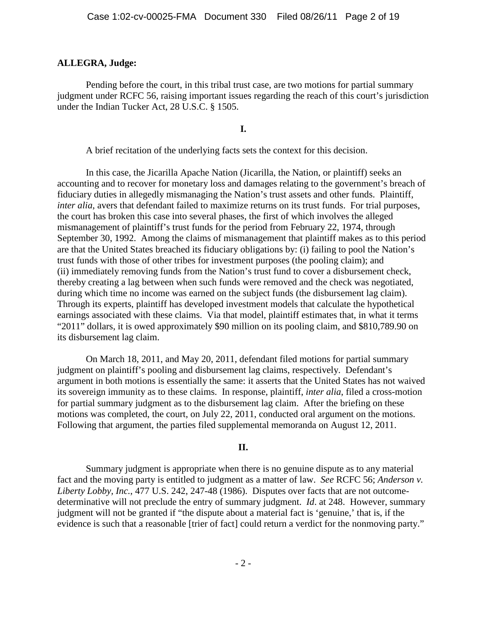#### **ALLEGRA, Judge:**

Pending before the court, in this tribal trust case, are two motions for partial summary judgment under RCFC 56, raising important issues regarding the reach of this court's jurisdiction under the Indian Tucker Act, 28 U.S.C. § 1505.

**I.**

A brief recitation of the underlying facts sets the context for this decision.

In this case, the Jicarilla Apache Nation (Jicarilla, the Nation, or plaintiff) seeks an accounting and to recover for monetary loss and damages relating to the government's breach of fiduciary duties in allegedly mismanaging the Nation's trust assets and other funds. Plaintiff, *inter alia*, avers that defendant failed to maximize returns on its trust funds. For trial purposes, the court has broken this case into several phases, the first of which involves the alleged mismanagement of plaintiff's trust funds for the period from February 22, 1974, through September 30, 1992. Among the claims of mismanagement that plaintiff makes as to this period are that the United States breached its fiduciary obligations by: (i) failing to pool the Nation's trust funds with those of other tribes for investment purposes (the pooling claim); and (ii) immediately removing funds from the Nation's trust fund to cover a disbursement check, thereby creating a lag between when such funds were removed and the check was negotiated, during which time no income was earned on the subject funds (the disbursement lag claim). Through its experts, plaintiff has developed investment models that calculate the hypothetical earnings associated with these claims. Via that model, plaintiff estimates that, in what it terms "2011" dollars, it is owed approximately \$90 million on its pooling claim, and \$810,789.90 on its disbursement lag claim.

On March 18, 2011, and May 20, 2011, defendant filed motions for partial summary judgment on plaintiff's pooling and disbursement lag claims, respectively. Defendant's argument in both motions is essentially the same: it asserts that the United States has not waived its sovereign immunity as to these claims. In response, plaintiff, *inter alia*, filed a cross-motion for partial summary judgment as to the disbursement lag claim. After the briefing on these motions was completed, the court, on July 22, 2011, conducted oral argument on the motions. Following that argument, the parties filed supplemental memoranda on August 12, 2011.

## **II.**

Summary judgment is appropriate when there is no genuine dispute as to any material fact and the moving party is entitled to judgment as a matter of law. *See* RCFC 56; *Anderson v. Liberty Lobby, Inc.*, 477 U.S. 242, 247-48 (1986). Disputes over facts that are not outcomedeterminative will not preclude the entry of summary judgment. *Id*. at 248. However, summary judgment will not be granted if "the dispute about a material fact is 'genuine,' that is, if the evidence is such that a reasonable [trier of fact] could return a verdict for the nonmoving party."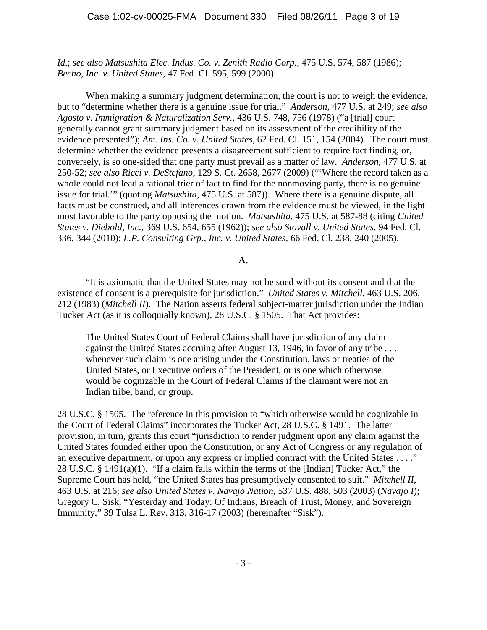*Id*.; *see also Matsushita Elec. Indus. Co. v. Zenith Radio Corp.*, 475 U.S. 574, 587 (1986); *Becho, Inc. v. United States*, 47 Fed. Cl. 595, 599 (2000).

When making a summary judgment determination, the court is not to weigh the evidence, but to "determine whether there is a genuine issue for trial." *Anderson*, 477 U.S. at 249; *see also Agosto v. Immigration & Naturalization Serv.*, 436 U.S. 748, 756 (1978) ("a [trial] court generally cannot grant summary judgment based on its assessment of the credibility of the evidence presented"); *Am. Ins. Co. v. United States*, 62 Fed. Cl. 151, 154 (2004). The court must determine whether the evidence presents a disagreement sufficient to require fact finding, or, conversely, is so one-sided that one party must prevail as a matter of law. *Anderson*, 477 U.S. at 250-52; *see also Ricci v. DeStefano*, 129 S. Ct. 2658, 2677 (2009) ("'Where the record taken as a whole could not lead a rational trier of fact to find for the nonmoving party, there is no genuine issue for trial.'" (quoting *Matsushita*, 475 U.S. at 587)). Where there is a genuine dispute, all facts must be construed, and all inferences drawn from the evidence must be viewed, in the light most favorable to the party opposing the motion. *Matsushita*, 475 U.S. at 587-88 (citing *United States v. Diebold, Inc.*, 369 U.S. 654, 655 (1962)); *see also Stovall v. United States*, 94 Fed. Cl. 336, 344 (2010); *L.P. Consulting Grp., Inc. v. United States*, 66 Fed. Cl. 238, 240 (2005).

#### **A.**

"It is axiomatic that the United States may not be sued without its consent and that the existence of consent is a prerequisite for jurisdiction." *United States v. Mitchell*, 463 U.S. 206, 212 (1983) (*Mitchell II*). The Nation asserts federal subject-matter jurisdiction under the Indian Tucker Act (as it is colloquially known), 28 U.S.C. § 1505. That Act provides:

The United States Court of Federal Claims shall have jurisdiction of any claim against the United States accruing after August 13, 1946, in favor of any tribe . . . whenever such claim is one arising under the Constitution, laws or treaties of the United States, or Executive orders of the President, or is one which otherwise would be cognizable in the Court of Federal Claims if the claimant were not an Indian tribe, band, or group.

28 U.S.C. § 1505. The reference in this provision to "which otherwise would be cognizable in the Court of Federal Claims" incorporates the Tucker Act, 28 U.S.C. § 1491. The latter provision, in turn, grants this court "jurisdiction to render judgment upon any claim against the United States founded either upon the Constitution, or any Act of Congress or any regulation of an executive department, or upon any express or implied contract with the United States . . . ." 28 U.S.C. § 1491(a)(1). "If a claim falls within the terms of the [Indian] Tucker Act," the Supreme Court has held, "the United States has presumptively consented to suit." *Mitchell II*, 463 U.S. at 216; *see also United States v. Navajo Nation*, 537 U.S. 488, 503 (2003) (*Navajo I*); Gregory C. Sisk, "Yesterday and Today: Of Indians, Breach of Trust, Money, and Sovereign Immunity," 39 Tulsa L. Rev. 313, 316-17 (2003) (hereinafter "Sisk").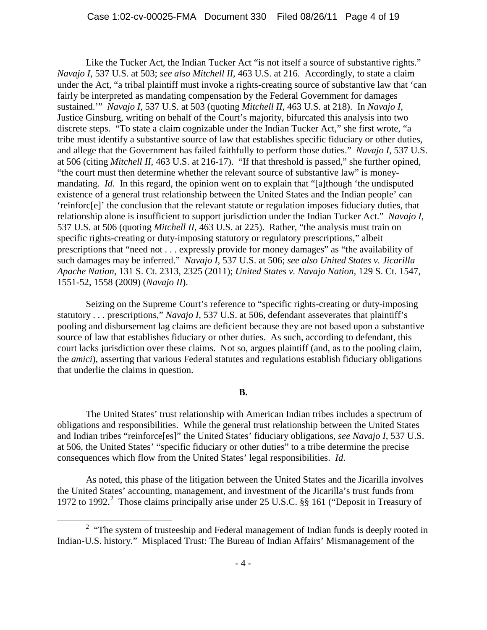Like the Tucker Act, the Indian Tucker Act "is not itself a source of substantive rights." *Navajo I*, 537 U.S. at 503; *see also Mitchell II*, 463 U.S. at 216. Accordingly, to state a claim under the Act, "a tribal plaintiff must invoke a rights-creating source of substantive law that 'can fairly be interpreted as mandating compensation by the Federal Government for damages sustained.'" *Navajo I*, 537 U.S. at 503 (quoting *Mitchell II*, 463 U.S. at 218). In *Navajo I*, Justice Ginsburg, writing on behalf of the Court's majority, bifurcated this analysis into two discrete steps. "To state a claim cognizable under the Indian Tucker Act," she first wrote, "a tribe must identify a substantive source of law that establishes specific fiduciary or other duties, and allege that the Government has failed faithfully to perform those duties." *Navajo I*, 537 U.S. at 506 (citing *Mitchell II*, 463 U.S. at 216-17). "If that threshold is passed," she further opined, "the court must then determine whether the relevant source of substantive law" is moneymandating. *Id*. In this regard, the opinion went on to explain that "[a]though 'the undisputed existence of a general trust relationship between the United States and the Indian people' can 'reinforc[e]' the conclusion that the relevant statute or regulation imposes fiduciary duties, that relationship alone is insufficient to support jurisdiction under the Indian Tucker Act." *Navajo I*, 537 U.S. at 506 (quoting *Mitchell II*, 463 U.S. at 225). Rather, "the analysis must train on specific rights-creating or duty-imposing statutory or regulatory prescriptions," albeit prescriptions that "need not . . . expressly provide for money damages" as "the availability of such damages may be inferred." *Navajo I*, 537 U.S. at 506; *see also United States v. Jicarilla Apache Nation*, 131 S. Ct. 2313, 2325 (2011); *United States v. Navajo Nation*, 129 S. Ct. 1547, 1551-52, 1558 (2009) (*Navajo II*).

Seizing on the Supreme Court's reference to "specific rights-creating or duty-imposing statutory . . . prescriptions," *Navajo I*, 537 U.S. at 506, defendant asseverates that plaintiff's pooling and disbursement lag claims are deficient because they are not based upon a substantive source of law that establishes fiduciary or other duties. As such, according to defendant, this court lacks jurisdiction over these claims. Not so, argues plaintiff (and, as to the pooling claim, the *amici*), asserting that various Federal statutes and regulations establish fiduciary obligations that underlie the claims in question.

## **B.**

The United States' trust relationship with American Indian tribes includes a spectrum of obligations and responsibilities. While the general trust relationship between the United States and Indian tribes "reinforce[es]" the United States' fiduciary obligations, *see Navajo I*, 537 U.S. at 506, the United States' "specific fiduciary or other duties" to a tribe determine the precise consequences which flow from the United States' legal responsibilities. *Id*.

As noted, this phase of the litigation between the United States and the Jicarilla involves the United States' accounting, management, and investment of the Jicarilla's trust funds from 197[2](#page-3-0) to 1992.<sup>2</sup> Those claims principally arise under 25 U.S.C. §§ 161 ("Deposit in Treasury of

<span id="page-3-0"></span> $\frac{1}{2}$  $2$  "The system of trusteeship and Federal management of Indian funds is deeply rooted in Indian-U.S. history." Misplaced Trust: The Bureau of Indian Affairs' Mismanagement of the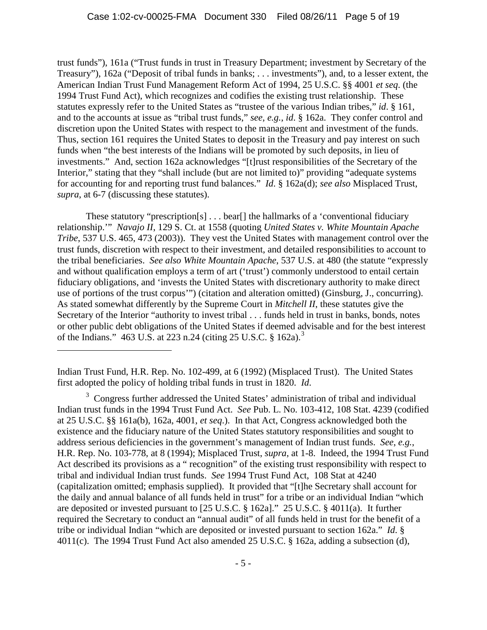trust funds"), 161a ("Trust funds in trust in Treasury Department; investment by Secretary of the Treasury"), 162a ("Deposit of tribal funds in banks; . . . investments"), and, to a lesser extent, the American Indian Trust Fund Management Reform Act of 1994, 25 U.S.C. §§ 4001 *et seq*. (the 1994 Trust Fund Act), which recognizes and codifies the existing trust relationship. These statutes expressly refer to the United States as "trustee of the various Indian tribes," *id*. § 161, and to the accounts at issue as "tribal trust funds," *see*, *e.g.*, *id*. § 162a. They confer control and discretion upon the United States with respect to the management and investment of the funds. Thus, section 161 requires the United States to deposit in the Treasury and pay interest on such funds when "the best interests of the Indians will be promoted by such deposits, in lieu of investments." And, section 162a acknowledges "[t]rust responsibilities of the Secretary of the Interior," stating that they "shall include (but are not limited to)" providing "adequate systems for accounting for and reporting trust fund balances." *Id*. § 162a(d); *see also* Misplaced Trust, *supra*, at 6-7 (discussing these statutes).

These statutory "prescription[s] . . . bear[] the hallmarks of a 'conventional fiduciary relationship.'" *Navajo II*, 129 S. Ct. at 1558 (quoting *United States v. White Mountain Apache Tribe*, 537 U.S. 465, 473 (2003)). They vest the United States with management control over the trust funds, discretion with respect to their investment, and detailed responsibilities to account to the tribal beneficiaries. *See also White Mountain Apache*, 537 U.S. at 480 (the statute "expressly and without qualification employs a term of art ('trust') commonly understood to entail certain fiduciary obligations, and 'invests the United States with discretionary authority to make direct use of portions of the trust corpus'") (citation and alteration omitted) (Ginsburg, J., concurring). As stated somewhat differently by the Supreme Court in *Mitchell II*, these statutes give the Secretary of the Interior "authority to invest tribal . . . funds held in trust in banks, bonds, notes or other public debt obligations of the United States if deemed advisable and for the best interest of the Indians." 46[3](#page-4-0) U.S. at 223 n.24 (citing 25 U.S.C. § 162a).<sup>3</sup>

Indian Trust Fund, H.R. Rep. No. 102-499, at 6 (1992) (Misplaced Trust). The United States first adopted the policy of holding tribal funds in trust in 1820. *Id*.

<span id="page-4-0"></span><sup>&</sup>lt;sup>3</sup> Congress further addressed the United States' administration of tribal and individual Indian trust funds in the 1994 Trust Fund Act. *See* Pub. L. No. 103-412, 108 Stat. 4239 (codified at 25 U.S.C. §§ 161a(b), 162a, 4001, *et seq*.). In that Act, Congress acknowledged both the existence and the fiduciary nature of the United States statutory responsibilities and sought to address serious deficiencies in the government's management of Indian trust funds. *See*, *e.g.*, H.R. Rep. No. 103-778, at 8 (1994); Misplaced Trust, *supra*, at 1-8. Indeed, the 1994 Trust Fund Act described its provisions as a " recognition" of the existing trust responsibility with respect to tribal and individual Indian trust funds. *See* 1994 Trust Fund Act, 108 Stat at 4240 (capitalization omitted; emphasis supplied). It provided that "[t]he Secretary shall account for the daily and annual balance of all funds held in trust" for a tribe or an individual Indian "which are deposited or invested pursuant to [25 U.S.C. § 162a]." 25 U.S.C. § 4011(a). It further required the Secretary to conduct an "annual audit" of all funds held in trust for the benefit of a tribe or individual Indian "which are deposited or invested pursuant to section 162a." *Id*. § 4011(c). The 1994 Trust Fund Act also amended 25 U.S.C. § 162a, adding a subsection (d),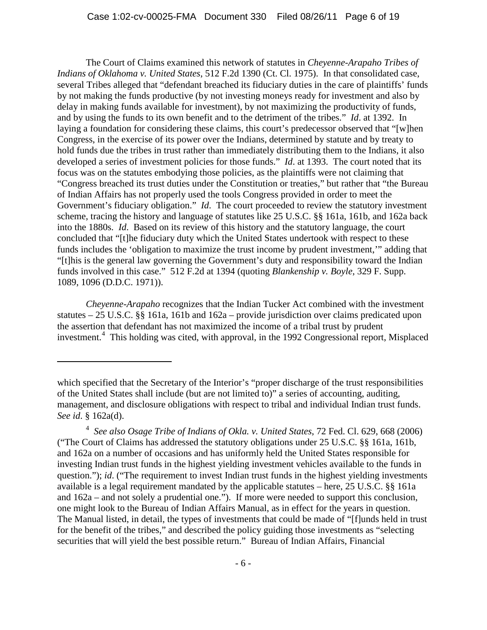The Court of Claims examined this network of statutes in *Cheyenne-Arapaho Tribes of Indians of Oklahoma v. United States*, 512 F.2d 1390 (Ct. Cl. 1975). In that consolidated case, several Tribes alleged that "defendant breached its fiduciary duties in the care of plaintiffs' funds by not making the funds productive (by not investing moneys ready for investment and also by delay in making funds available for investment), by not maximizing the productivity of funds, and by using the funds to its own benefit and to the detriment of the tribes." *Id*. at 1392. In laying a foundation for considering these claims, this court's predecessor observed that "[w]hen Congress, in the exercise of its power over the Indians, determined by statute and by treaty to hold funds due the tribes in trust rather than immediately distributing them to the Indians, it also developed a series of investment policies for those funds." *Id.* at 1393. The court noted that its focus was on the statutes embodying those policies, as the plaintiffs were not claiming that "Congress breached its trust duties under the Constitution or treaties," but rather that "the Bureau of Indian Affairs has not properly used the tools Congress provided in order to meet the Government's fiduciary obligation." *Id*. The court proceeded to review the statutory investment scheme, tracing the history and language of statutes like 25 U.S.C. §§ 161a, 161b, and 162a back into the 1880s. *Id*. Based on its review of this history and the statutory language, the court concluded that "[t]he fiduciary duty which the United States undertook with respect to these funds includes the 'obligation to maximize the trust income by prudent investment,'" adding that "[t]his is the general law governing the Government's duty and responsibility toward the Indian funds involved in this case." 512 F.2d at 1394 (quoting *Blankenship v. Boyle*, 329 F. Supp. 1089, 1096 (D.D.C. 1971)).

*Cheyenne-Arapaho* recognizes that the Indian Tucker Act combined with the investment statutes – 25 U.S.C. §§ 161a, 161b and 162a – provide jurisdiction over claims predicated upon the assertion that defendant has not maximized the income of a tribal trust by prudent investment.<sup>[4](#page-5-0)</sup> This holding was cited, with approval, in the 1992 Congressional report, Misplaced

which specified that the Secretary of the Interior's "proper discharge of the trust responsibilities of the United States shall include (but are not limited to)" a series of accounting, auditing, management, and disclosure obligations with respect to tribal and individual Indian trust funds. *See id*. § 162a(d).

<span id="page-5-0"></span><sup>4</sup>  *See also Osage Tribe of Indians of Okla. v. United States*, 72 Fed. Cl. 629, 668 (2006) ("The Court of Claims has addressed the statutory obligations under 25 U.S.C. §§ 161a, 161b, and 162a on a number of occasions and has uniformly held the United States responsible for investing Indian trust funds in the highest yielding investment vehicles available to the funds in question."); *id.* ("The requirement to invest Indian trust funds in the highest yielding investments available is a legal requirement mandated by the applicable statutes – here, 25 U.S.C. §§ 161a and 162a – and not solely a prudential one."). If more were needed to support this conclusion, one might look to the Bureau of Indian Affairs Manual, as in effect for the years in question. The Manual listed, in detail, the types of investments that could be made of "[f]unds held in trust for the benefit of the tribes," and described the policy guiding those investments as "selecting securities that will yield the best possible return." Bureau of Indian Affairs, Financial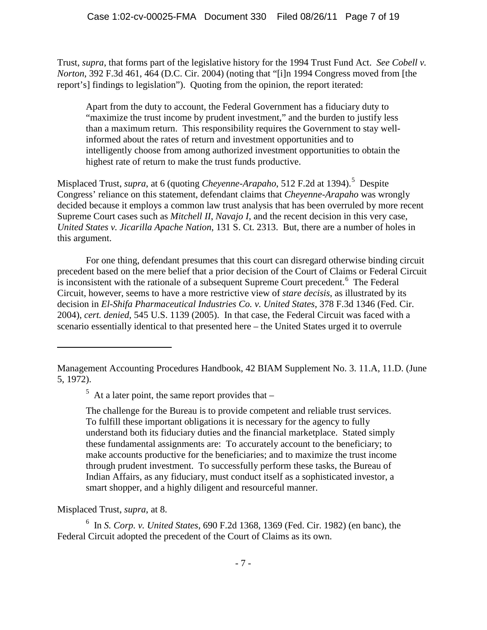Trust, *supra*, that forms part of the legislative history for the 1994 Trust Fund Act. *See Cobell v. Norton*, 392 F.3d 461, 464 (D.C. Cir. 2004) (noting that "[i]n 1994 Congress moved from [the report's] findings to legislation"). Quoting from the opinion, the report iterated:

Apart from the duty to account, the Federal Government has a fiduciary duty to "maximize the trust income by prudent investment," and the burden to justify less than a maximum return. This responsibility requires the Government to stay wellinformed about the rates of return and investment opportunities and to intelligently choose from among authorized investment opportunities to obtain the highest rate of return to make the trust funds productive.

Misplaced Trust, *supra*, at 6 (quoting *Cheyenne-Arapaho*, [5](#page-6-0)12 F.2d at 1394).<sup>5</sup> Despite Congress' reliance on this statement, defendant claims that *Cheyenne-Arapaho* was wrongly decided because it employs a common law trust analysis that has been overruled by more recent Supreme Court cases such as *Mitchell II*, *Navajo I*, and the recent decision in this very case, *United States v. Jicarilla Apache Nation*, 131 S. Ct. 2313. But, there are a number of holes in this argument.

For one thing, defendant presumes that this court can disregard otherwise binding circuit precedent based on the mere belief that a prior decision of the Court of Claims or Federal Circuit is inconsistent with the rationale of a subsequent Supreme Court precedent.<sup>[6](#page-6-1)</sup> The Federal Circuit, however, seems to have a more restrictive view of *stare decisis*, as illustrated by its decision in *El-Shifa Pharmaceutical Industries Co. v. United States*, 378 F.3d 1346 (Fed. Cir. 2004), *cert. denied*, 545 U.S. 1139 (2005). In that case, the Federal Circuit was faced with a scenario essentially identical to that presented here – the United States urged it to overrule

 $<sup>5</sup>$  At a later point, the same report provides that  $-$ </sup>

The challenge for the Bureau is to provide competent and reliable trust services. To fulfill these important obligations it is necessary for the agency to fully understand both its fiduciary duties and the financial marketplace. Stated simply these fundamental assignments are: To accurately account to the beneficiary; to make accounts productive for the beneficiaries; and to maximize the trust income through prudent investment. To successfully perform these tasks, the Bureau of Indian Affairs, as any fiduciary, must conduct itself as a sophisticated investor, a smart shopper, and a highly diligent and resourceful manner.

## Misplaced Trust, *supra*, at 8.

 $\overline{a}$ 

<span id="page-6-1"></span>6 In *S. Corp. v. United States*, 690 F.2d 1368, 1369 (Fed. Cir. 1982) (en banc), the Federal Circuit adopted the precedent of the Court of Claims as its own.

<span id="page-6-0"></span>Management Accounting Procedures Handbook, 42 BIAM Supplement No. 3. 11.A, 11.D. (June 5, 1972).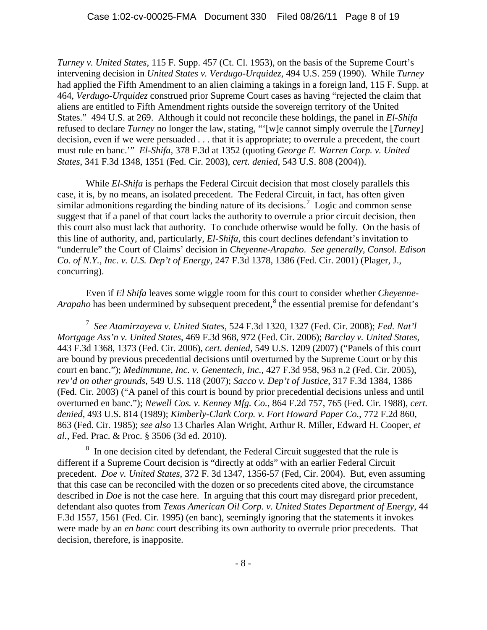*Turney v. United States*, 115 F. Supp. 457 (Ct. Cl. 1953), on the basis of the Supreme Court's intervening decision in *United States v. Verdugo-Urquidez*, 494 U.S. 259 (1990). While *Turney* had applied the Fifth Amendment to an alien claiming a takings in a foreign land, 115 F. Supp. at 464, *Verdugo-Urquidez* construed prior Supreme Court cases as having "rejected the claim that aliens are entitled to Fifth Amendment rights outside the sovereign territory of the United States." 494 U.S. at 269. Although it could not reconcile these holdings, the panel in *El-Shifa*  refused to declare *Turney* no longer the law, stating, "'[w]e cannot simply overrule the [*Turney*] decision, even if we were persuaded . . . that it is appropriate; to overrule a precedent, the court must rule en banc.'" *El-Shifa*, 378 F.3d at 1352 (quoting *George E. Warren Corp. v. United States*, 341 F.3d 1348, 1351 (Fed. Cir. 2003), *cert. denied*, 543 U.S. 808 (2004)).

While *El-Shifa* is perhaps the Federal Circuit decision that most closely parallels this case, it is, by no means, an isolated precedent. The Federal Circuit, in fact, has often given similar admonitions regarding the binding nature of its decisions.<sup>[7](#page-7-0)</sup> Logic and common sense suggest that if a panel of that court lacks the authority to overrule a prior circuit decision, then this court also must lack that authority. To conclude otherwise would be folly. On the basis of this line of authority, and, particularly, *El-Shifa*, this court declines defendant's invitation to "underrule" the Court of Claims' decision in *Cheyenne-Arapaho*. *See generally*, *Consol. Edison Co. of N.Y., Inc. v. U.S. Dep't of Energy*, 247 F.3d 1378, 1386 (Fed. Cir. 2001) (Plager, J., concurring).

Even if *El Shifa* leaves some wiggle room for this court to consider whether *Cheyenne-*Arapaho has been undermined by subsequent precedent,<sup>[8](#page-7-1)</sup> the essential premise for defendant's

<span id="page-7-1"></span> $8\,$  In one decision cited by defendant, the Federal Circuit suggested that the rule is different if a Supreme Court decision is "directly at odds" with an earlier Federal Circuit precedent. *Doe v. United States*, 372 F. 3d 1347, 1356-57 (Fed, Cir. 2004). But, even assuming that this case can be reconciled with the dozen or so precedents cited above, the circumstance described in *Doe* is not the case here. In arguing that this court may disregard prior precedent, defendant also quotes from *Texas American Oil Corp. v. United States Department of Energy*, 44 F.3d 1557, 1561 (Fed. Cir. 1995) (en banc), seemingly ignoring that the statements it invokes were made by an *en banc* court describing its own authority to overrule prior precedents. That decision, therefore, is inapposite.

<span id="page-7-0"></span> $\frac{1}{7}$  *See Atamirzayeva v. United States*, 524 F.3d 1320, 1327 (Fed. Cir. 2008); *Fed. Nat'l Mortgage Ass'n v. United States*, 469 F.3d 968, 972 (Fed. Cir. 2006); *Barclay v. United States*, 443 F.3d 1368, 1373 (Fed. Cir. 2006), *cert. denied*, 549 U.S. 1209 (2007) ("Panels of this court are bound by previous precedential decisions until overturned by the Supreme Court or by this court en banc."); *Medimmune, Inc. v. Genentech, Inc.*, 427 F.3d 958, 963 n.2 (Fed. Cir. 2005), *rev'd on other grounds*, 549 U.S. 118 (2007); *Sacco v. Dep't of Justice*, 317 F.3d 1384, 1386 (Fed. Cir. 2003) ("A panel of this court is bound by prior precedential decisions unless and until overturned en banc."); *Newell Cos. v. Kenney Mfg. Co.*, 864 F.2d 757, 765 (Fed. Cir. 1988), *cert. denied*, 493 U.S. 814 (1989); *Kimberly-Clark Corp. v. Fort Howard Paper Co.*, 772 F.2d 860, 863 (Fed. Cir. 1985); *see also* 13 Charles Alan Wright, Arthur R. Miller, Edward H. Cooper, *et al.*, Fed. Prac. & Proc. § 3506 (3d ed. 2010).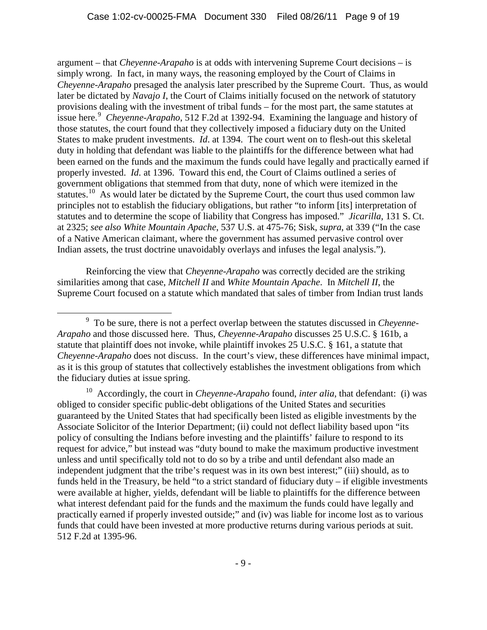argument – that *Cheyenne-Arapaho* is at odds with intervening Supreme Court decisions – is simply wrong. In fact, in many ways, the reasoning employed by the Court of Claims in *Cheyenne-Arapaho* presaged the analysis later prescribed by the Supreme Court. Thus, as would later be dictated by *Navajo I*, the Court of Claims initially focused on the network of statutory provisions dealing with the investment of tribal funds – for the most part, the same statutes at issue here.<sup>[9](#page-8-0)</sup> *Cheyenne-Arapaho*, 512 F.2d at 1392-94. Examining the language and history of those statutes, the court found that they collectively imposed a fiduciary duty on the United States to make prudent investments. *Id*. at 1394. The court went on to flesh-out this skeletal duty in holding that defendant was liable to the plaintiffs for the difference between what had been earned on the funds and the maximum the funds could have legally and practically earned if properly invested. *Id*. at 1396. Toward this end, the Court of Claims outlined a series of government obligations that stemmed from that duty, none of which were itemized in the statutes.<sup>10</sup> As would later be dictated by the Supreme Court, the court thus used common law principles not to establish the fiduciary obligations, but rather "to inform [its] interpretation of statutes and to determine the scope of liability that Congress has imposed." *Jicarilla*, 131 S. Ct. at 2325; *see also White Mountain Apache*, 537 U.S. at 475-76; Sisk, *supra*, at 339 ("In the case of a Native American claimant, where the government has assumed pervasive control over Indian assets, the trust doctrine unavoidably overlays and infuses the legal analysis.").

Reinforcing the view that *Cheyenne-Arapaho* was correctly decided are the striking similarities among that case, *Mitchell II* and *White Mountain Apache*. In *Mitchell II*, the Supreme Court focused on a statute which mandated that sales of timber from Indian trust lands

<span id="page-8-0"></span> <sup>9</sup> To be sure, there is not a perfect overlap between the statutes discussed in *Cheyenne-Arapaho* and those discussed here. Thus, *Cheyenne-Arapaho* discusses 25 U.S.C. § 161b, a statute that plaintiff does not invoke, while plaintiff invokes 25 U.S.C. § 161, a statute that *Cheyenne-Arapaho* does not discuss. In the court's view, these differences have minimal impact, as it is this group of statutes that collectively establishes the investment obligations from which the fiduciary duties at issue spring.

<span id="page-8-1"></span><sup>10</sup> Accordingly, the court in *Cheyenne-Arapaho* found, *inter alia*, that defendant: (i) was obliged to consider specific public-debt obligations of the United States and securities guaranteed by the United States that had specifically been listed as eligible investments by the Associate Solicitor of the Interior Department; (ii) could not deflect liability based upon "its policy of consulting the Indians before investing and the plaintiffs' failure to respond to its request for advice," but instead was "duty bound to make the maximum productive investment unless and until specifically told not to do so by a tribe and until defendant also made an independent judgment that the tribe's request was in its own best interest;" (iii) should, as to funds held in the Treasury, be held "to a strict standard of fiduciary duty – if eligible investments were available at higher, yields, defendant will be liable to plaintiffs for the difference between what interest defendant paid for the funds and the maximum the funds could have legally and practically earned if properly invested outside;" and (iv) was liable for income lost as to various funds that could have been invested at more productive returns during various periods at suit. 512 F.2d at 1395-96.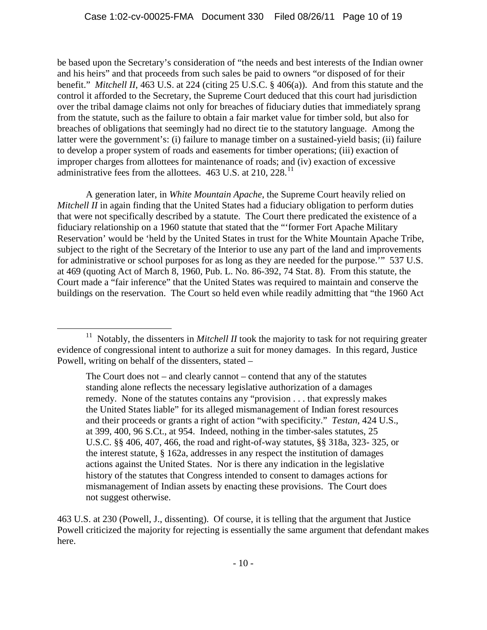be based upon the Secretary's consideration of "the needs and best interests of the Indian owner and his heirs" and that proceeds from such sales be paid to owners "or disposed of for their benefit." *Mitchell II*, 463 U.S. at 224 (citing 25 U.S.C. § 406(a)). And from this statute and the control it afforded to the Secretary, the Supreme Court deduced that this court had jurisdiction over the tribal damage claims not only for breaches of fiduciary duties that immediately sprang from the statute, such as the failure to obtain a fair market value for timber sold, but also for breaches of obligations that seemingly had no direct tie to the statutory language. Among the latter were the government's: (i) failure to manage timber on a sustained-yield basis; (ii) failure to develop a proper system of roads and easements for timber operations; (iii) exaction of improper charges from allottees for maintenance of roads; and (iv) exaction of excessive administrative fees from the allottees.  $463$  U.S. at 210, 228.<sup>11</sup>

A generation later, in *White Mountain Apache*, the Supreme Court heavily relied on *Mitchell II* in again finding that the United States had a fiduciary obligation to perform duties that were not specifically described by a statute. The Court there predicated the existence of a fiduciary relationship on a 1960 statute that stated that the "'former Fort Apache Military Reservation' would be 'held by the United States in trust for the White Mountain Apache Tribe, subject to the right of the Secretary of the Interior to use any part of the land and improvements for administrative or school purposes for as long as they are needed for the purpose.'" 537 U.S. at 469 (quoting Act of March 8, 1960, Pub. L. No. 86-392, 74 Stat. 8). From this statute, the Court made a "fair inference" that the United States was required to maintain and conserve the buildings on the reservation. The Court so held even while readily admitting that "the 1960 Act

<span id="page-9-0"></span><sup>&</sup>lt;sup>11</sup> Notably, the dissenters in *Mitchell II* took the majority to task for not requiring greater evidence of congressional intent to authorize a suit for money damages. In this regard, Justice Powell, writing on behalf of the dissenters, stated –

The Court does not – and clearly cannot – contend that any of the statutes standing alone reflects the necessary legislative authorization of a damages remedy. None of the statutes contains any "provision . . . that expressly makes the United States liable" for its alleged mismanagement of Indian forest resources and their proceeds or grants a right of action "with specificity." *Testan*, 424 U.S., at 399, 400, 96 S.Ct., at 954. Indeed, nothing in the timber-sales statutes, 25 U.S.C. §§ 406, 407, 466, the road and right-of-way statutes, §§ 318a, 323- 325, or the interest statute, § 162a, addresses in any respect the institution of damages actions against the United States. Nor is there any indication in the legislative history of the statutes that Congress intended to consent to damages actions for mismanagement of Indian assets by enacting these provisions. The Court does not suggest otherwise.

<sup>463</sup> U.S. at 230 (Powell, J., dissenting). Of course, it is telling that the argument that Justice Powell criticized the majority for rejecting is essentially the same argument that defendant makes here.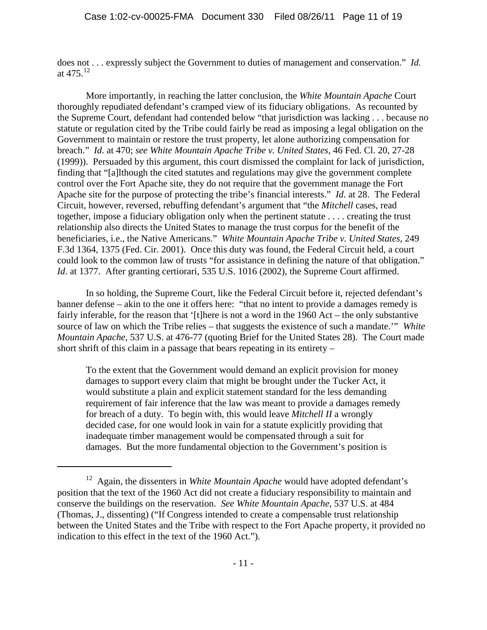does not . . . expressly subject the Government to duties of management and conservation." *Id.*  at  $475^{12}$  $475^{12}$  $475^{12}$ 

More importantly, in reaching the latter conclusion, the *White Mountain Apache* Court thoroughly repudiated defendant's cramped view of its fiduciary obligations. As recounted by the Supreme Court, defendant had contended below "that jurisdiction was lacking . . . because no statute or regulation cited by the Tribe could fairly be read as imposing a legal obligation on the Government to maintain or restore the trust property, let alone authorizing compensation for breach." *Id*. at 470; *see White Mountain Apache Tribe v. United States*, 46 Fed. Cl. 20, 27-28 (1999)). Persuaded by this argument, this court dismissed the complaint for lack of jurisdiction, finding that "[a]lthough the cited statutes and regulations may give the government complete control over the Fort Apache site, they do not require that the government manage the Fort Apache site for the purpose of protecting the tribe's financial interests." *Id*. at 28. The Federal Circuit, however, reversed, rebuffing defendant's argument that "the *Mitchell* cases, read together, impose a fiduciary obligation only when the pertinent statute . . . . creating the trust relationship also directs the United States to manage the trust corpus for the benefit of the beneficiaries, i.e., the Native Americans." *White Mountain Apache Tribe v. United States*, 249 F.3d 1364, 1375 (Fed. Cir. 2001). Once this duty was found, the Federal Circuit held, a court could look to the common law of trusts "for assistance in defining the nature of that obligation." *Id*. at 1377. After granting certiorari, 535 U.S. 1016 (2002), the Supreme Court affirmed.

In so holding, the Supreme Court, like the Federal Circuit before it, rejected defendant's banner defense – akin to the one it offers here: "that no intent to provide a damages remedy is fairly inferable, for the reason that '[t]here is not a word in the 1960 Act – the only substantive source of law on which the Tribe relies – that suggests the existence of such a mandate.'" *White Mountain Apache*, 537 U.S. at 476-77 (quoting Brief for the United States 28). The Court made short shrift of this claim in a passage that bears repeating in its entirety –

To the extent that the Government would demand an explicit provision for money damages to support every claim that might be brought under the Tucker Act, it would substitute a plain and explicit statement standard for the less demanding requirement of fair inference that the law was meant to provide a damages remedy for breach of a duty. To begin with, this would leave *Mitchell II* a wrongly decided case, for one would look in vain for a statute explicitly providing that inadequate timber management would be compensated through a suit for damages. But the more fundamental objection to the Government's position is

<span id="page-10-0"></span><sup>12</sup> Again, the dissenters in *White Mountain Apache* would have adopted defendant's position that the text of the 1960 Act did not create a fiduciary responsibility to maintain and conserve the buildings on the reservation. *See White Mountain Apache*, 537 U.S. at 484 (Thomas, J., dissenting) ("If Congress intended to create a compensable trust relationship between the United States and the Tribe with respect to the Fort Apache property, it provided no indication to this effect in the text of the 1960 Act.").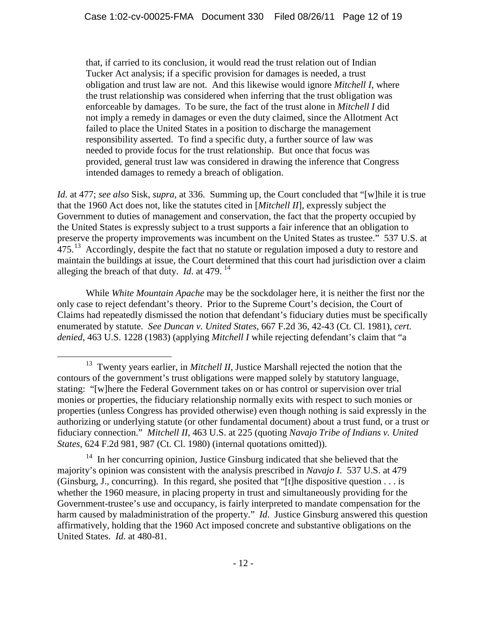that, if carried to its conclusion, it would read the trust relation out of Indian Tucker Act analysis; if a specific provision for damages is needed, a trust obligation and trust law are not. And this likewise would ignore *Mitchell I*, where the trust relationship was considered when inferring that the trust obligation was enforceable by damages. To be sure, the fact of the trust alone in *Mitchell I* did not imply a remedy in damages or even the duty claimed, since the Allotment Act failed to place the United States in a position to discharge the management responsibility asserted. To find a specific duty, a further source of law was needed to provide focus for the trust relationship. But once that focus was provided, general trust law was considered in drawing the inference that Congress intended damages to remedy a breach of obligation.

*Id*. at 477; *see also* Sisk, *supra*, at 336. Summing up, the Court concluded that "[w]hile it is true that the 1960 Act does not, like the statutes cited in [*Mitchell II*], expressly subject the Government to duties of management and conservation, the fact that the property occupied by the United States is expressly subject to a trust supports a fair inference that an obligation to preserve the property improvements was incumbent on the United States as trustee." 537 U.S. at  $475<sup>13</sup>$  Accordingly, despite the fact that no statute or regulation imposed a duty to restore and maintain the buildings at issue, the Court determined that this court had jurisdiction over a claim alleging the breach of that duty. *Id.* at 479.  $14$ 

While *White Mountain Apache* may be the sockdolager here, it is neither the first nor the only case to reject defendant's theory. Prior to the Supreme Court's decision, the Court of Claims had repeatedly dismissed the notion that defendant's fiduciary duties must be specifically enumerated by statute. *See Duncan v. United States*, 667 F.2d 36, 42-43 (Ct. Cl. 1981), *cert. denied*, 463 U.S. 1228 (1983) (applying *Mitchell I* while rejecting defendant's claim that "a

<span id="page-11-0"></span><sup>&</sup>lt;sup>13</sup> Twenty years earlier, in *Mitchell II*, Justice Marshall rejected the notion that the contours of the government's trust obligations were mapped solely by statutory language, stating: "[w]here the Federal Government takes on or has control or supervision over trial monies or properties, the fiduciary relationship normally exits with respect to such monies or properties (unless Congress has provided otherwise) even though nothing is said expressly in the authorizing or underlying statute (or other fundamental document) about a trust fund, or a trust or fiduciary connection." *Mitchell II*, 463 U.S. at 225 (quoting *Navajo Tribe of Indians v. United States*, 624 F.2d 981, 987 (Ct. Cl. 1980) (internal quotations omitted)).

<span id="page-11-1"></span><sup>&</sup>lt;sup>14</sup> In her concurring opinion, Justice Ginsburg indicated that she believed that the majority's opinion was consistent with the analysis prescribed in *Navajo I*. 537 U.S. at 479 (Ginsburg, J., concurring). In this regard, she posited that "[t]he dispositive question . . . is whether the 1960 measure, in placing property in trust and simultaneously providing for the Government-trustee's use and occupancy, is fairly interpreted to mandate compensation for the harm caused by maladministration of the property." *Id*. Justice Ginsburg answered this question affirmatively, holding that the 1960 Act imposed concrete and substantive obligations on the United States. *Id.* at 480-81.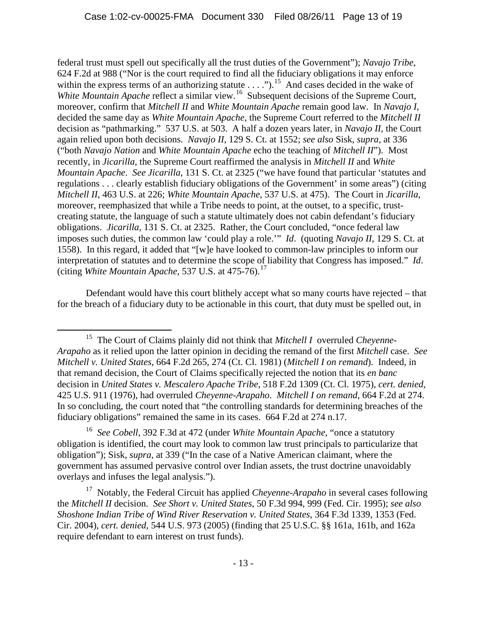federal trust must spell out specifically all the trust duties of the Government"); *Navajo Tribe*, 624 F.2d at 988 ("Nor is the court required to find all the fiduciary obligations it may enforce within the express terms of an authorizing statute  $\dots$ .").<sup>[15](#page-12-0)</sup> And cases decided in the wake of *White Mountain Apache* reflect a similar view.<sup>16</sup> Subsequent decisions of the Supreme Court, moreover, confirm that *Mitchell II* and *White Mountain Apache* remain good law. In *Navajo I*, decided the same day as *White Mountain Apache*, the Supreme Court referred to the *Mitchell II*  decision as "pathmarking." 537 U.S. at 503. A half a dozen years later, in *Navajo II*, the Court again relied upon both decisions. *Navajo II*, 129 S. Ct. at 1552; *see also* Sisk, *supra*, at 336 ("both *Navajo Nation* and *White Mountain Apache* echo the teaching of *Mitchell II*"). Most recently, in *Jicarilla*, the Supreme Court reaffirmed the analysis in *Mitchell II* and *White Mountain Apache*. *See Jicarilla*, 131 S. Ct. at 2325 ("we have found that particular 'statutes and regulations . . . clearly establish fiduciary obligations of the Government' in some areas") (citing *Mitchell II*, 463 U.S. at 226; *White Mountain Apache,* 537 U.S. at 475). The Court in *Jicarilla*, moreover, reemphasized that while a Tribe needs to point, at the outset, to a specific, trustcreating statute, the language of such a statute ultimately does not cabin defendant's fiduciary obligations. *Jicarilla*, 131 S. Ct. at 2325. Rather, the Court concluded, "once federal law imposes such duties, the common law 'could play a role.'" *Id*. (quoting *Navajo II*, 129 S. Ct. at 1558). In this regard, it added that "[w]e have looked to common-law principles to inform our interpretation of statutes and to determine the scope of liability that Congress has imposed." *Id*. (citing *White Mountain Apache*, 537 U.S. at 475-76).[17](#page-12-2)

Defendant would have this court blithely accept what so many courts have rejected – that for the breach of a fiduciary duty to be actionable in this court, that duty must be spelled out, in

<span id="page-12-0"></span> <sup>15</sup> The Court of Claims plainly did not think that *Mitchell I* overruled *Cheyenne-Arapaho* as it relied upon the latter opinion in deciding the remand of the first *Mitchell* case. *See Mitchell v. United States*, 664 F.2d 265, 274 (Ct. Cl. 1981) (*Mitchell I on remand*). Indeed, in that remand decision, the Court of Claims specifically rejected the notion that its *en banc* decision in *United States v. Mescalero Apache Tribe*, 518 F.2d 1309 (Ct. Cl. 1975), *cert. denied*, 425 U.S. 911 (1976), had overruled *Cheyenne-Arapaho*. *Mitchell I on remand*, 664 F.2d at 274. In so concluding, the court noted that "the controlling standards for determining breaches of the fiduciary obligations" remained the same in its cases. 664 F.2d at 274 n.17.

<span id="page-12-1"></span><sup>16</sup> *See Cobell*, 392 F.3d at 472 (under *White Mountain Apache*, "once a statutory obligation is identified, the court may look to common law trust principals to particularize that obligation"); Sisk, *supra*, at 339 ("In the case of a Native American claimant, where the government has assumed pervasive control over Indian assets, the trust doctrine unavoidably overlays and infuses the legal analysis.").

<span id="page-12-2"></span><sup>17</sup> Notably, the Federal Circuit has applied *Cheyenne-Arapaho* in several cases following the *Mitchell II* decision. *See Short v. United States*, 50 F.3d 994, 999 (Fed. Cir. 1995); *see also Shoshone Indian Tribe of Wind River Reservation v. United States*, 364 F.3d 1339, 1353 (Fed. Cir. 2004), *cert. denied*, 544 U.S. 973 (2005) (finding that 25 U.S.C. §§ 161a, 161b, and 162a require defendant to earn interest on trust funds).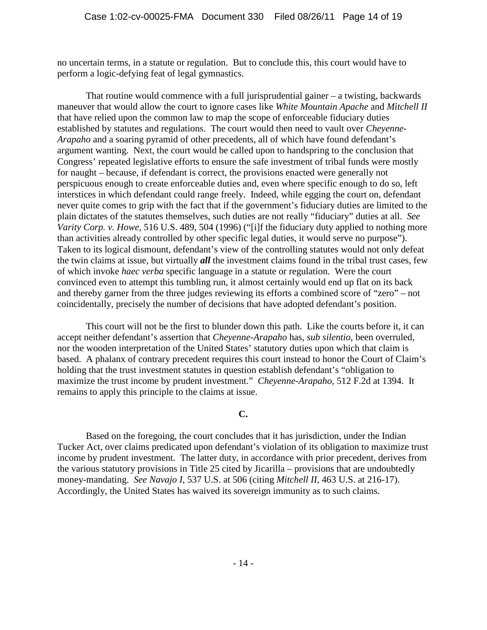no uncertain terms, in a statute or regulation. But to conclude this, this court would have to perform a logic-defying feat of legal gymnastics.

That routine would commence with a full jurisprudential gainer – a twisting, backwards maneuver that would allow the court to ignore cases like *White Mountain Apache* and *Mitchell II* that have relied upon the common law to map the scope of enforceable fiduciary duties established by statutes and regulations. The court would then need to vault over *Cheyenne-Arapaho* and a soaring pyramid of other precedents, all of which have found defendant's argument wanting. Next, the court would be called upon to handspring to the conclusion that Congress' repeated legislative efforts to ensure the safe investment of tribal funds were mostly for naught – because, if defendant is correct, the provisions enacted were generally not perspicuous enough to create enforceable duties and, even where specific enough to do so, left interstices in which defendant could range freely. Indeed, while egging the court on, defendant never quite comes to grip with the fact that if the government's fiduciary duties are limited to the plain dictates of the statutes themselves, such duties are not really "fiduciary" duties at all. *See Varity Corp. v. Howe,* 516 U.S. 489, 504 (1996) ("[i]f the fiduciary duty applied to nothing more than activities already controlled by other specific legal duties, it would serve no purpose"). Taken to its logical dismount, defendant's view of the controlling statutes would not only defeat the twin claims at issue, but virtually *all* the investment claims found in the tribal trust cases, few of which invoke *haec verba* specific language in a statute or regulation. Were the court convinced even to attempt this tumbling run, it almost certainly would end up flat on its back and thereby garner from the three judges reviewing its efforts a combined score of "zero" – not coincidentally, precisely the number of decisions that have adopted defendant's position.

This court will not be the first to blunder down this path. Like the courts before it, it can accept neither defendant's assertion that *Cheyenne-Arapaho* has, *sub silentio*, been overruled, nor the wooden interpretation of the United States' statutory duties upon which that claim is based. A phalanx of contrary precedent requires this court instead to honor the Court of Claim's holding that the trust investment statutes in question establish defendant's "obligation to maximize the trust income by prudent investment." *Cheyenne-Arapaho*, 512 F.2d at 1394. It remains to apply this principle to the claims at issue.

#### **C.**

Based on the foregoing, the court concludes that it has jurisdiction, under the Indian Tucker Act, over claims predicated upon defendant's violation of its obligation to maximize trust income by prudent investment. The latter duty, in accordance with prior precedent, derives from the various statutory provisions in Title 25 cited by Jicarilla – provisions that are undoubtedly money-mandating. *See Navajo I*, 537 U.S. at 506 (citing *Mitchell II*, 463 U.S. at 216-17). Accordingly, the United States has waived its sovereign immunity as to such claims.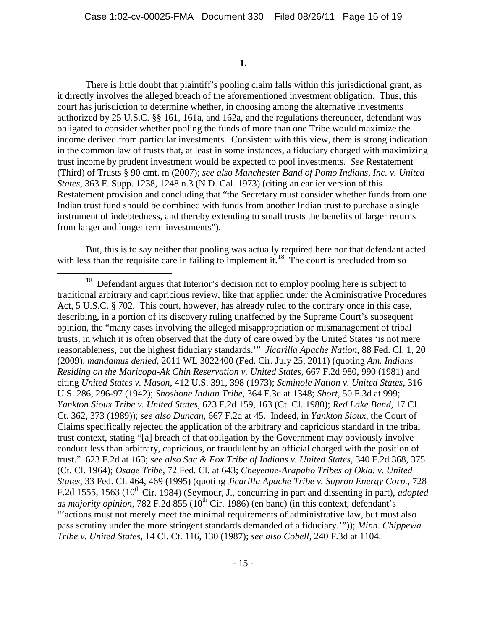**1.**

There is little doubt that plaintiff's pooling claim falls within this jurisdictional grant, as it directly involves the alleged breach of the aforementioned investment obligation. Thus, this court has jurisdiction to determine whether, in choosing among the alternative investments authorized by 25 U.S.C. §§ 161, 161a, and 162a, and the regulations thereunder, defendant was obligated to consider whether pooling the funds of more than one Tribe would maximize the income derived from particular investments. Consistent with this view, there is strong indication in the common law of trusts that, at least in some instances, a fiduciary charged with maximizing trust income by prudent investment would be expected to pool investments. *See* Restatement (Third) of Trusts § 90 cmt. m (2007); *see also Manchester Band of Pomo Indians, Inc. v. United States*, 363 F. Supp. 1238, 1248 n.3 (N.D. Cal. 1973) (citing an earlier version of this Restatement provision and concluding that "the Secretary must consider whether funds from one Indian trust fund should be combined with funds from another Indian trust to purchase a single instrument of indebtedness, and thereby extending to small trusts the benefits of larger returns from larger and longer term investments").

But, this is to say neither that pooling was actually required here nor that defendant acted with less than the requisite care in failing to implement it.<sup>[18](#page-14-0)</sup> The court is precluded from so

<span id="page-14-0"></span><sup>&</sup>lt;sup>18</sup> Defendant argues that Interior's decision not to employ pooling here is subject to traditional arbitrary and capricious review, like that applied under the Administrative Procedures Act, 5 U.S.C. § 702. This court, however, has already ruled to the contrary once in this case, describing, in a portion of its discovery ruling unaffected by the Supreme Court's subsequent opinion, the "many cases involving the alleged misappropriation or mismanagement of tribal trusts, in which it is often observed that the duty of care owed by the United States 'is not mere reasonableness, but the highest fiduciary standards.'" *Jicarilla Apache Nation*, 88 Fed. Cl. 1, 20 (2009), *mandamus denied*, 2011 WL 3022400 (Fed. Cir. July 25, 2011) (quoting *Am. Indians Residing on the Maricopa-Ak Chin Reservation v. United States*, 667 F.2d 980, 990 (1981) and citing *United States v. Mason*, 412 U.S. 391, 398 (1973); *Seminole Nation v. United States*, 316 U.S. 286, 296-97 (1942); *Shoshone Indian Tribe*, 364 F.3d at 1348; *Short,* 50 F.3d at 999; *Yankton Sioux Tribe v. United States*, 623 F.2d 159, 163 (Ct. Cl. 1980); *Red Lake Band*, 17 Cl. Ct. 362, 373 (1989)); *see also Duncan*, 667 F.2d at 45. Indeed, in *Yankton Sioux*, the Court of Claims specifically rejected the application of the arbitrary and capricious standard in the tribal trust context, stating "[a] breach of that obligation by the Government may obviously involve conduct less than arbitrary, capricious, or fraudulent by an official charged with the position of trust." 623 F.2d at 163; *see also Sac & Fox Tribe of Indians v. United States*, 340 F.2d 368, 375 (Ct. Cl. 1964); *Osage Tribe*, 72 Fed. Cl. at 643; *Cheyenne-Arapaho Tribes of Okla. v. United States*, 33 Fed. Cl. 464, 469 (1995) (quoting *Jicarilla Apache Tribe v. Supron Energy Corp.*, 728 F.2d 1555, 1563 (10th Cir. 1984) (Seymour, J., concurring in part and dissenting in part), *adopted*  as majority opinion, 782 F.2d 855 ( $10^{th}$  Cir. 1986) (en banc) (in this context, defendant's "'actions must not merely meet the minimal requirements of administrative law, but must also pass scrutiny under the more stringent standards demanded of a fiduciary.'")); *Minn. Chippewa Tribe v. United States*, 14 Cl. Ct. 116, 130 (1987); *see also Cobell*, 240 F.3d at 1104.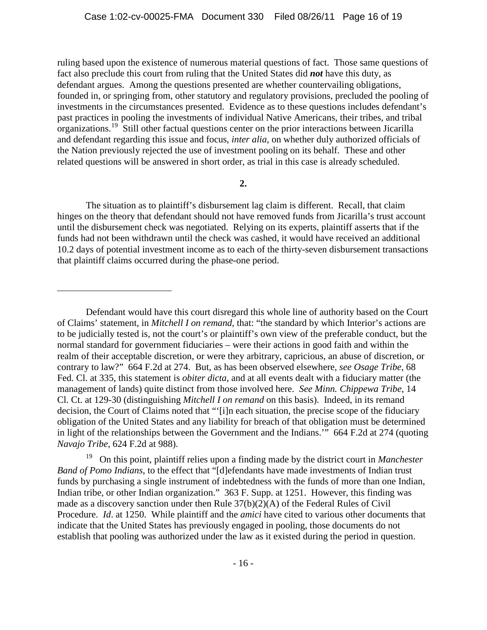ruling based upon the existence of numerous material questions of fact. Those same questions of fact also preclude this court from ruling that the United States did *not* have this duty, as defendant argues. Among the questions presented are whether countervailing obligations, founded in, or springing from, other statutory and regulatory provisions, precluded the pooling of investments in the circumstances presented. Evidence as to these questions includes defendant's past practices in pooling the investments of individual Native Americans, their tribes, and tribal organizations.<sup>[19](#page-15-0)</sup> Still other factual questions center on the prior interactions between Jicarilla and defendant regarding this issue and focus, *inter alia*, on whether duly authorized officials of the Nation previously rejected the use of investment pooling on its behalf. These and other related questions will be answered in short order, as trial in this case is already scheduled.

**2.**

The situation as to plaintiff's disbursement lag claim is different. Recall, that claim hinges on the theory that defendant should not have removed funds from Jicarilla's trust account until the disbursement check was negotiated. Relying on its experts, plaintiff asserts that if the funds had not been withdrawn until the check was cashed, it would have received an additional 10.2 days of potential investment income as to each of the thirty-seven disbursement transactions that plaintiff claims occurred during the phase-one period.

 $\overline{a}$ 

<span id="page-15-0"></span>19 On this point, plaintiff relies upon a finding made by the district court in *Manchester Band of Pomo Indians*, to the effect that "[d]efendants have made investments of Indian trust funds by purchasing a single instrument of indebtedness with the funds of more than one Indian, Indian tribe, or other Indian organization." 363 F. Supp. at 1251. However, this finding was made as a discovery sanction under then Rule 37(b)(2)(A) of the Federal Rules of Civil Procedure. *Id*. at 1250. While plaintiff and the *amici* have cited to various other documents that indicate that the United States has previously engaged in pooling, those documents do not establish that pooling was authorized under the law as it existed during the period in question.

Defendant would have this court disregard this whole line of authority based on the Court of Claims' statement, in *Mitchell I on remand*, that: "the standard by which Interior's actions are to be judicially tested is, not the court's or plaintiff's own view of the preferable conduct, but the normal standard for government fiduciaries – were their actions in good faith and within the realm of their acceptable discretion, or were they arbitrary, capricious, an abuse of discretion, or contrary to law?" 664 F.2d at 274. But, as has been observed elsewhere, *see Osage Tribe*, 68 Fed. Cl. at 335, this statement is *obiter dicta*, and at all events dealt with a fiduciary matter (the management of lands) quite distinct from those involved here. *See Minn. Chippewa Tribe*, 14 Cl. Ct. at 129-30 (distinguishing *Mitchell I on remand* on this basis). Indeed, in its remand decision, the Court of Claims noted that "'[i]n each situation, the precise scope of the fiduciary obligation of the United States and any liability for breach of that obligation must be determined in light of the relationships between the Government and the Indians.'" 664 F.2d at 274 (quoting *Navajo Tribe*, 624 F.2d at 988).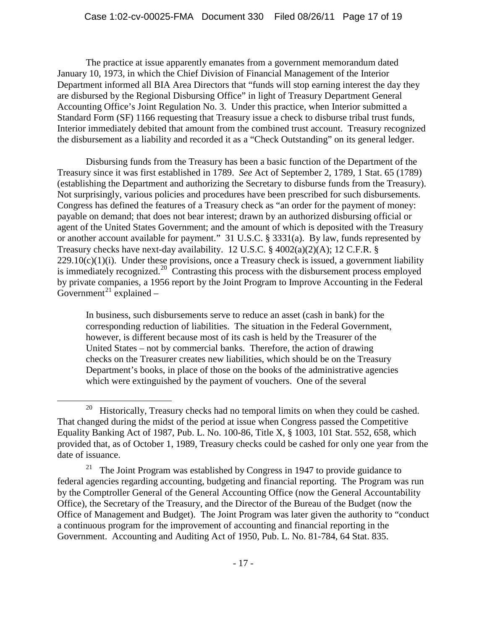The practice at issue apparently emanates from a government memorandum dated January 10, 1973, in which the Chief Division of Financial Management of the Interior Department informed all BIA Area Directors that "funds will stop earning interest the day they are disbursed by the Regional Disbursing Office" in light of Treasury Department General Accounting Office's Joint Regulation No. 3. Under this practice, when Interior submitted a Standard Form (SF) 1166 requesting that Treasury issue a check to disburse tribal trust funds, Interior immediately debited that amount from the combined trust account. Treasury recognized the disbursement as a liability and recorded it as a "Check Outstanding" on its general ledger.

Disbursing funds from the Treasury has been a basic function of the Department of the Treasury since it was first established in 1789. *See* Act of September 2, 1789, 1 Stat. 65 (1789) (establishing the Department and authorizing the Secretary to disburse funds from the Treasury). Not surprisingly, various policies and procedures have been prescribed for such disbursements. Congress has defined the features of a Treasury check as "an order for the payment of money: payable on demand; that does not bear interest; drawn by an authorized disbursing official or agent of the United States Government; and the amount of which is deposited with the Treasury or another account available for payment." 31 U.S.C. § 3331(a). By law, funds represented by Treasury checks have next-day availability. 12 U.S.C. § 4002(a)(2)(A); 12 C.F.R. §  $229.10(c)(1)(i)$ . Under these provisions, once a Treasury check is issued, a government liability is immediately recognized.<sup>[20](#page-16-0)</sup> Contrasting this process with the disbursement process employed by private companies, a 1956 report by the Joint Program to Improve Accounting in the Federal Government<sup>[21](#page-16-1)</sup> explained –

In business, such disbursements serve to reduce an asset (cash in bank) for the corresponding reduction of liabilities. The situation in the Federal Government, however, is different because most of its cash is held by the Treasurer of the United States – not by commercial banks. Therefore, the action of drawing checks on the Treasurer creates new liabilities, which should be on the Treasury Department's books, in place of those on the books of the administrative agencies which were extinguished by the payment of vouchers. One of the several

<span id="page-16-0"></span><sup>&</sup>lt;sup>20</sup> Historically, Treasury checks had no temporal limits on when they could be cashed. That changed during the midst of the period at issue when Congress passed the Competitive Equality Banking Act of 1987, Pub. L. No. 100-86, Title X, § 1003, 101 Stat. 552, 658, which provided that, as of October 1, 1989, Treasury checks could be cashed for only one year from the date of issuance.

<span id="page-16-1"></span><sup>&</sup>lt;sup>21</sup> The Joint Program was established by Congress in 1947 to provide guidance to federal agencies regarding accounting, budgeting and financial reporting. The Program was run by the Comptroller General of the General Accounting Office (now the General Accountability Office), the Secretary of the Treasury, and the Director of the Bureau of the Budget (now the Office of Management and Budget). The Joint Program was later given the authority to "conduct a continuous program for the improvement of accounting and financial reporting in the Government. Accounting and Auditing Act of 1950, Pub. L. No. 81-784, 64 Stat. 835.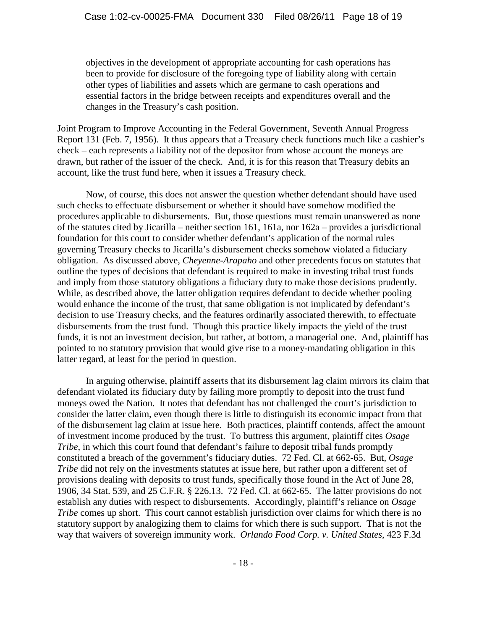objectives in the development of appropriate accounting for cash operations has been to provide for disclosure of the foregoing type of liability along with certain other types of liabilities and assets which are germane to cash operations and essential factors in the bridge between receipts and expenditures overall and the changes in the Treasury's cash position.

Joint Program to Improve Accounting in the Federal Government, Seventh Annual Progress Report 131 (Feb. 7, 1956). It thus appears that a Treasury check functions much like a cashier's check – each represents a liability not of the depositor from whose account the moneys are drawn, but rather of the issuer of the check. And, it is for this reason that Treasury debits an account, like the trust fund here, when it issues a Treasury check.

Now, of course, this does not answer the question whether defendant should have used such checks to effectuate disbursement or whether it should have somehow modified the procedures applicable to disbursements. But, those questions must remain unanswered as none of the statutes cited by Jicarilla – neither section 161, 161a, nor 162a – provides a jurisdictional foundation for this court to consider whether defendant's application of the normal rules governing Treasury checks to Jicarilla's disbursement checks somehow violated a fiduciary obligation. As discussed above, *Cheyenne-Arapaho* and other precedents focus on statutes that outline the types of decisions that defendant is required to make in investing tribal trust funds and imply from those statutory obligations a fiduciary duty to make those decisions prudently. While, as described above, the latter obligation requires defendant to decide whether pooling would enhance the income of the trust, that same obligation is not implicated by defendant's decision to use Treasury checks, and the features ordinarily associated therewith, to effectuate disbursements from the trust fund. Though this practice likely impacts the yield of the trust funds, it is not an investment decision, but rather, at bottom, a managerial one. And, plaintiff has pointed to no statutory provision that would give rise to a money-mandating obligation in this latter regard, at least for the period in question.

In arguing otherwise, plaintiff asserts that its disbursement lag claim mirrors its claim that defendant violated its fiduciary duty by failing more promptly to deposit into the trust fund moneys owed the Nation. It notes that defendant has not challenged the court's jurisdiction to consider the latter claim, even though there is little to distinguish its economic impact from that of the disbursement lag claim at issue here. Both practices, plaintiff contends, affect the amount of investment income produced by the trust. To buttress this argument, plaintiff cites *Osage Tribe*, in which this court found that defendant's failure to deposit tribal funds promptly constituted a breach of the government's fiduciary duties. 72 Fed. Cl. at 662-65. But, *Osage Tribe* did not rely on the investments statutes at issue here, but rather upon a different set of provisions dealing with deposits to trust funds, specifically those found in the Act of June 28, 1906, 34 Stat. 539, and 25 C.F.R. § 226.13. 72 Fed. Cl. at 662-65. The latter provisions do not establish any duties with respect to disbursements. Accordingly, plaintiff's reliance on *Osage Tribe* comes up short. This court cannot establish jurisdiction over claims for which there is no statutory support by analogizing them to claims for which there is such support. That is not the way that waivers of sovereign immunity work. *Orlando Food Corp. v. United States*, 423 F.3d